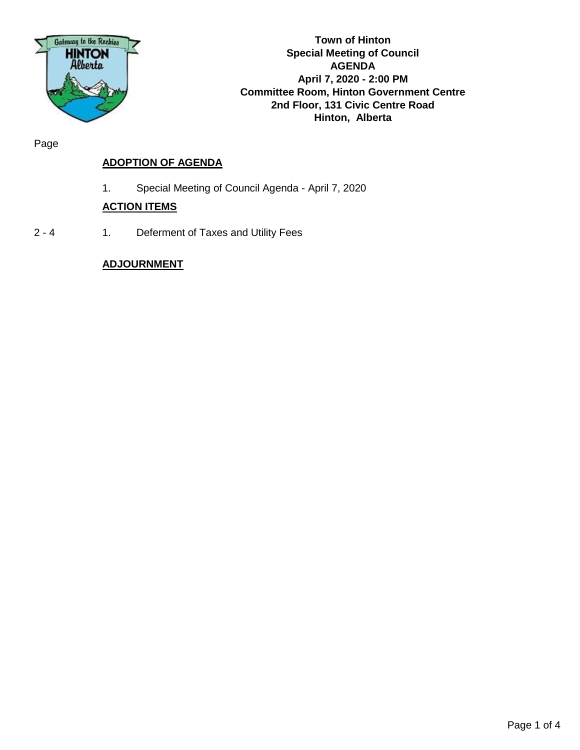

**Town of Hinton Special Meeting of Council AGENDA April 7, 2020 - 2:00 PM Committee Room, Hinton Government Centre 2nd Floor, 131 Civic Centre Road Hinton, Alberta**

Page

# **ADOPTION OF AGENDA**

1. Special Meeting of Council Agenda - April 7, 2020

# **ACTION ITEMS**

2 - 4 1. Deferment of Taxes and Utility Fees

# **ADJOURNMENT**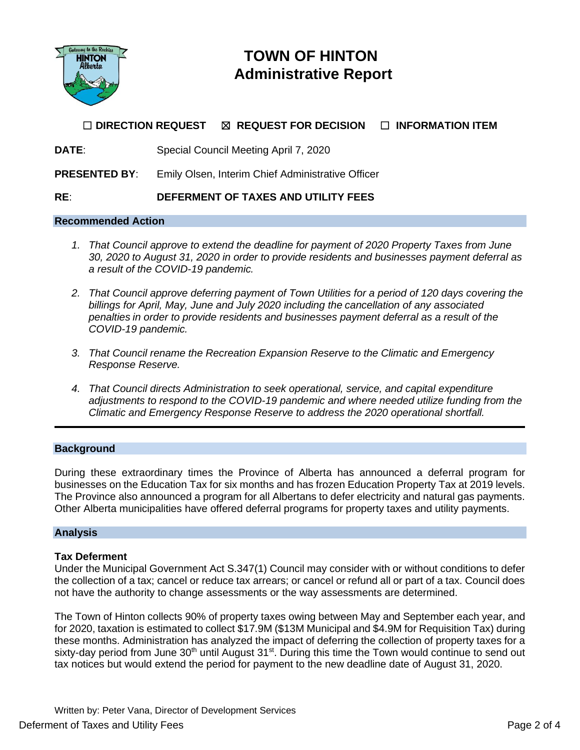

# **TOWN OF HINTON Administrative Report**

# ☐ **DIRECTION REQUEST** ☒ **REQUEST FOR DECISION** ☐ **INFORMATION ITEM**

## **DATE**: Special Council Meeting April 7, 2020

**PRESENTED BY**: Emily Olsen, Interim Chief Administrative Officer

## **RE**: **DEFERMENT OF TAXES AND UTILITY FEES**

#### **Recommended Action**

- *1. That Council approve to extend the deadline for payment of 2020 Property Taxes from June 30, 2020 to August 31, 2020 in order to provide residents and businesses payment deferral as a result of the COVID-19 pandemic.*
- *2. That Council approve deferring payment of Town Utilities for a period of 120 days covering the billings for April, May, June and July 2020 including the cancellation of any associated penalties in order to provide residents and businesses payment deferral as a result of the COVID-19 pandemic.*
- *3. That Council rename the Recreation Expansion Reserve to the Climatic and Emergency Response Reserve.*
- *4. That Council directs Administration to seek operational, service, and capital expenditure adjustments to respond to the COVID-19 pandemic and where needed utilize funding from the Climatic and Emergency Response Reserve to address the 2020 operational shortfall.*

## **Background**

During these extraordinary times the Province of Alberta has announced a deferral program for businesses on the Education Tax for six months and has frozen Education Property Tax at 2019 levels. The Province also announced a program for all Albertans to defer electricity and natural gas payments. Other Alberta municipalities have offered deferral programs for property taxes and utility payments.

## **Analysis**

## **Tax Deferment**

Under the Municipal Government Act S.347(1) Council may consider with or without conditions to defer the collection of a tax; cancel or reduce tax arrears; or cancel or refund all or part of a tax. Council does not have the authority to change assessments or the way assessments are determined.

The Town of Hinton collects 90% of property taxes owing between May and September each year, and for 2020, taxation is estimated to collect \$17.9M (\$13M Municipal and \$4.9M for Requisition Tax) during these months. Administration has analyzed the impact of deferring the collection of property taxes for a sixty-day period from June 30<sup>th</sup> until August 31<sup>st</sup>. During this time the Town would continue to send out tax notices but would extend the period for payment to the new deadline date of August 31, 2020.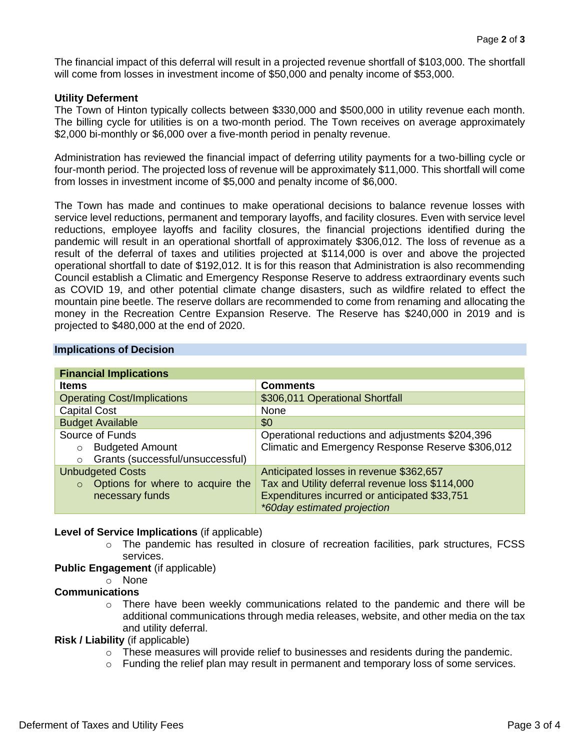The financial impact of this deferral will result in a projected revenue shortfall of \$103,000. The shortfall will come from losses in investment income of \$50,000 and penalty income of \$53,000.

#### **Utility Deferment**

The Town of Hinton typically collects between \$330,000 and \$500,000 in utility revenue each month. The billing cycle for utilities is on a two-month period. The Town receives on average approximately \$2,000 bi-monthly or \$6,000 over a five-month period in penalty revenue.

Administration has reviewed the financial impact of deferring utility payments for a two-billing cycle or four-month period. The projected loss of revenue will be approximately \$11,000. This shortfall will come from losses in investment income of \$5,000 and penalty income of \$6,000.

The Town has made and continues to make operational decisions to balance revenue losses with service level reductions, permanent and temporary layoffs, and facility closures. Even with service level reductions, employee layoffs and facility closures, the financial projections identified during the pandemic will result in an operational shortfall of approximately \$306,012. The loss of revenue as a result of the deferral of taxes and utilities projected at \$114,000 is over and above the projected operational shortfall to date of \$192,012. It is for this reason that Administration is also recommending Council establish a Climatic and Emergency Response Reserve to address extraordinary events such as COVID 19, and other potential climate change disasters, such as wildfire related to effect the mountain pine beetle. The reserve dollars are recommended to come from renaming and allocating the money in the Recreation Centre Expansion Reserve. The Reserve has \$240,000 in 2019 and is projected to \$480,000 at the end of 2020.

| <b>Financial Implications</b>               |                                                   |
|---------------------------------------------|---------------------------------------------------|
| <b>Items</b>                                | <b>Comments</b>                                   |
| <b>Operating Cost/Implications</b>          | \$306,011 Operational Shortfall                   |
| <b>Capital Cost</b>                         | None                                              |
| <b>Budget Available</b>                     | \$0                                               |
| Source of Funds                             | Operational reductions and adjustments \$204,396  |
| <b>Budgeted Amount</b><br>$\circ$           | Climatic and Emergency Response Reserve \$306,012 |
| Grants (successful/unsuccessful)<br>$\circ$ |                                                   |
| <b>Unbudgeted Costs</b>                     | Anticipated losses in revenue \$362,657           |
| Options for where to acquire the<br>$\circ$ | Tax and Utility deferral revenue loss \$114,000   |
| necessary funds                             | Expenditures incurred or anticipated \$33,751     |
|                                             | *60day estimated projection                       |

#### **Implications of Decision**

#### **Level of Service Implications** (if applicable)

 $\circ$  The pandemic has resulted in closure of recreation facilities, park structures, FCSS services.

## **Public Engagement** (if applicable)

o None

#### **Communications**

o There have been weekly communications related to the pandemic and there will be additional communications through media releases, website, and other media on the tax and utility deferral.

### **Risk / Liability** (if applicable)

- $\circ$  These measures will provide relief to businesses and residents during the pandemic.
- $\circ$  Funding the relief plan may result in permanent and temporary loss of some services.